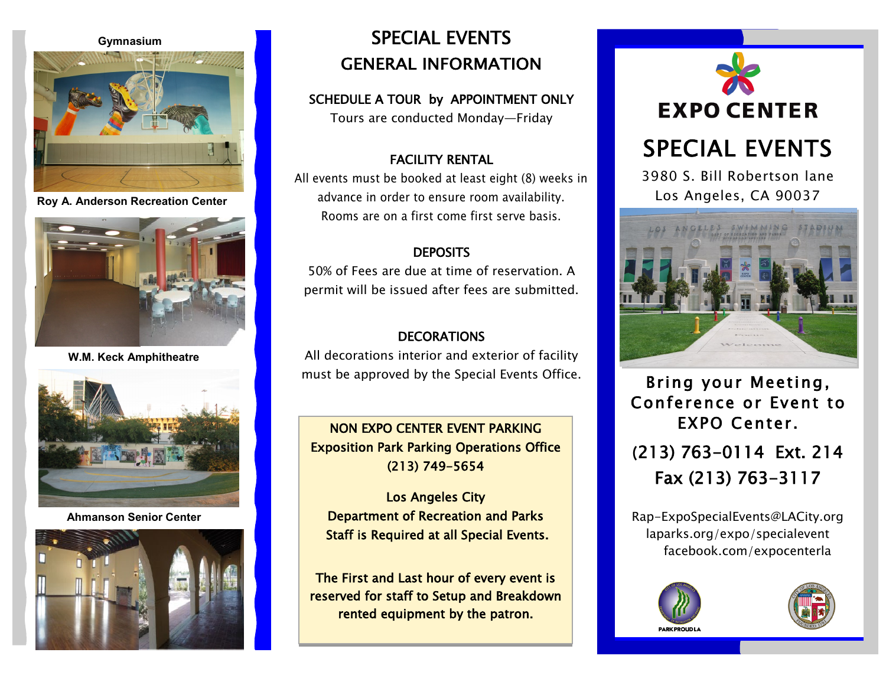#### **Gymnasium**



**Roy A. Anderson Recreation Center**



**W.M. Keck Amphitheatre** 



**Ahmanson Senior Center**



# SPECIAL EVENTS GENERAL INFORMATION

### SCHEDULE A TOUR by APPOINTMENT ONLY

Tours are conducted Monday—Friday

# FACILITY RENTAL

All events must be booked at least eight (8) weeks in advance in order to ensure room availability. Rooms are on a first come first serve basis.

## **DEPOSITS**

50% of Fees are due at time of reservation. A permit will be issued after fees are submitted.

## DECORATIONS

All decorations interior and exterior of facility must be approved by the Special Events Office.

NON EXPO CENTER EVENT PARKING Exposition Park Parking Operations Office (213) 749-5654

Los Angeles City Department of Recreation and Parks Staff is Required at all Special Events.

The First and Last hour of every event is reserved for staff to Setup and Breakdown rented equipment by the patron.





Bring your Meeting, Conference or Event to EXPO Center. **(**213) 763-0114 Ext. 214 Fax (213) 763-3117

Rap-ExpoSpecialEvents@LACity.org laparks.org/expo/specialevent facebook.com/expocenterla